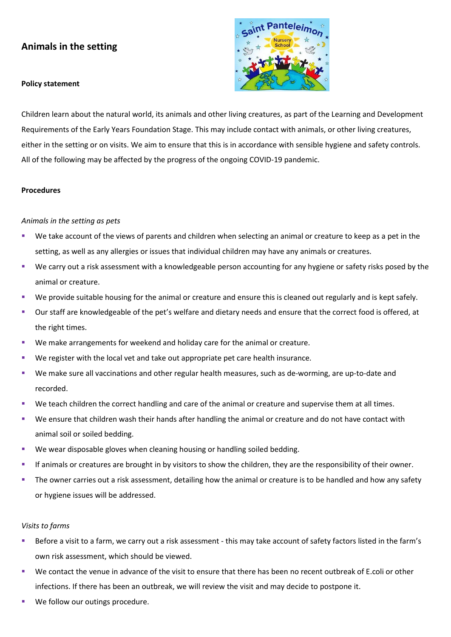# **Animals in the setting**

#### **Policy statement**



Children learn about the natural world, its animals and other living creatures, as part of the Learning and Development Requirements of the Early Years Foundation Stage. This may include contact with animals, or other living creatures, either in the setting or on visits. We aim to ensure that this is in accordance with sensible hygiene and safety controls. All of the following may be affected by the progress of the ongoing COVID-19 pandemic.

#### **Procedures**

#### *Animals in the setting as pets*

- We take account of the views of parents and children when selecting an animal or creature to keep as a pet in the setting, as well as any allergies or issues that individual children may have any animals or creatures.
- We carry out a risk assessment with a knowledgeable person accounting for any hygiene or safety risks posed by the animal or creature.
- We provide suitable housing for the animal or creature and ensure this is cleaned out regularly and is kept safely.
- Our staff are knowledgeable of the pet's welfare and dietary needs and ensure that the correct food is offered, at the right times.
- We make arrangements for weekend and holiday care for the animal or creature.
- We register with the local vet and take out appropriate pet care health insurance.
- We make sure all vaccinations and other regular health measures, such as de-worming, are up-to-date and recorded.
- We teach children the correct handling and care of the animal or creature and supervise them at all times.
- We ensure that children wash their hands after handling the animal or creature and do not have contact with animal soil or soiled bedding.
- We wear disposable gloves when cleaning housing or handling soiled bedding.
- If animals or creatures are brought in by visitors to show the children, they are the responsibility of their owner.
- The owner carries out a risk assessment, detailing how the animal or creature is to be handled and how any safety or hygiene issues will be addressed.

#### *Visits to farms*

- Before a visit to a farm, we carry out a risk assessment this may take account of safety factors listed in the farm's own risk assessment, which should be viewed.
- We contact the venue in advance of the visit to ensure that there has been no recent outbreak of E.coli or other infections. If there has been an outbreak, we will review the visit and may decide to postpone it.
- We follow our outings procedure.